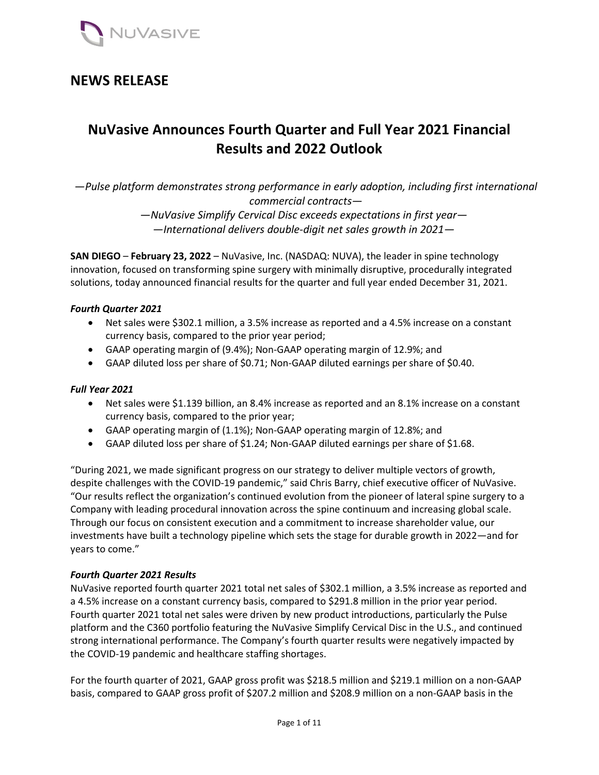

# **NEWS RELEASE**

# **NuVasive Announces Fourth Quarter and Full Year 2021 Financial Results and 2022 Outlook**

*—Pulse platform demonstrates strong performance in early adoption, including first international commercial contracts—*

*—NuVasive Simplify Cervical Disc exceeds expectations in first year— —International delivers double-digit net sales growth in 2021—*

**SAN DIEGO** – **February 23, 2022** – NuVasive, Inc. (NASDAQ: NUVA), the leader in spine technology innovation, focused on transforming spine surgery with minimally disruptive, procedurally integrated solutions, today announced financial results for the quarter and full year ended December 31, 2021.

# *Fourth Quarter 2021*

- Net sales were \$302.1 million, a 3.5% increase as reported and a 4.5% increase on a constant currency basis, compared to the prior year period;
- GAAP operating margin of (9.4%); Non-GAAP operating margin of 12.9%; and
- GAAP diluted loss per share of \$0.71; Non-GAAP diluted earnings per share of \$0.40.

# *Full Year 2021*

- Net sales were \$1.139 billion, an 8.4% increase as reported and an 8.1% increase on a constant currency basis, compared to the prior year;
- GAAP operating margin of (1.1%); Non-GAAP operating margin of 12.8%; and
- GAAP diluted loss per share of \$1.24; Non-GAAP diluted earnings per share of \$1.68.

"During 2021, we made significant progress on our strategy to deliver multiple vectors of growth, despite challenges with the COVID-19 pandemic," said Chris Barry, chief executive officer of NuVasive. "Our results reflect the organization's continued evolution from the pioneer of lateral spine surgery to a Company with leading procedural innovation across the spine continuum and increasing global scale. Through our focus on consistent execution and a commitment to increase shareholder value, our investments have built a technology pipeline which sets the stage for durable growth in 2022—and for years to come."

# *Fourth Quarter 2021 Results*

NuVasive reported fourth quarter 2021 total net sales of \$302.1 million, a 3.5% increase as reported and a 4.5% increase on a constant currency basis, compared to \$291.8 million in the prior year period. Fourth quarter 2021 total net sales were driven by new product introductions, particularly the Pulse platform and the C360 portfolio featuring the NuVasive Simplify Cervical Disc in the U.S., and continued strong international performance. The Company's fourth quarter results were negatively impacted by the COVID-19 pandemic and healthcare staffing shortages.

For the fourth quarter of 2021, GAAP gross profit was \$218.5 million and \$219.1 million on a non-GAAP basis, compared to GAAP gross profit of \$207.2 million and \$208.9 million on a non-GAAP basis in the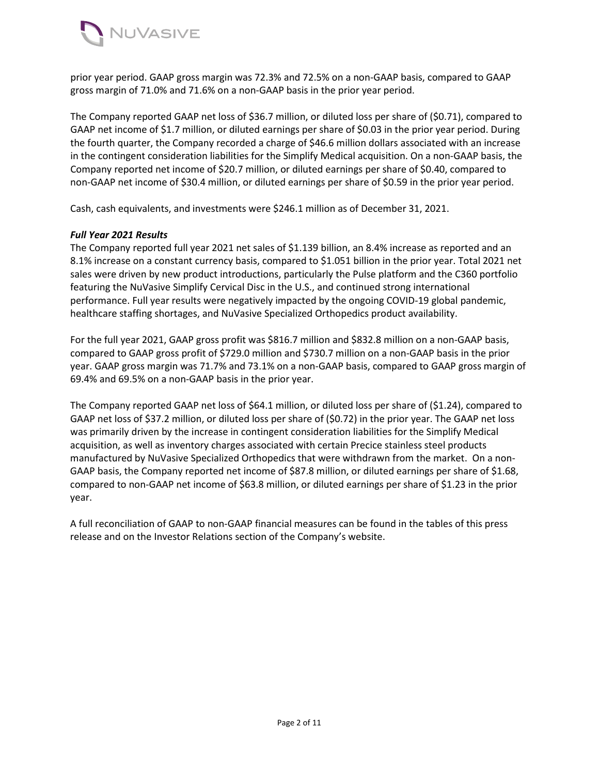

prior year period. GAAP gross margin was 72.3% and 72.5% on a non-GAAP basis, compared to GAAP gross margin of 71.0% and 71.6% on a non-GAAP basis in the prior year period.

The Company reported GAAP net loss of \$36.7 million, or diluted loss per share of (\$0.71), compared to GAAP net income of \$1.7 million, or diluted earnings per share of \$0.03 in the prior year period. During the fourth quarter, the Company recorded a charge of \$46.6 million dollars associated with an increase in the contingent consideration liabilities for the Simplify Medical acquisition. On a non-GAAP basis, the Company reported net income of \$20.7 million, or diluted earnings per share of \$0.40, compared to non-GAAP net income of \$30.4 million, or diluted earnings per share of \$0.59 in the prior year period.

Cash, cash equivalents, and investments were \$246.1 million as of December 31, 2021.

# *Full Year 2021 Results*

The Company reported full year 2021 net sales of \$1.139 billion, an 8.4% increase as reported and an 8.1% increase on a constant currency basis, compared to \$1.051 billion in the prior year. Total 2021 net sales were driven by new product introductions, particularly the Pulse platform and the C360 portfolio featuring the NuVasive Simplify Cervical Disc in the U.S., and continued strong international performance. Full year results were negatively impacted by the ongoing COVID-19 global pandemic, healthcare staffing shortages, and NuVasive Specialized Orthopedics product availability.

For the full year 2021, GAAP gross profit was \$816.7 million and \$832.8 million on a non-GAAP basis, compared to GAAP gross profit of \$729.0 million and \$730.7 million on a non-GAAP basis in the prior year. GAAP gross margin was 71.7% and 73.1% on a non-GAAP basis, compared to GAAP gross margin of 69.4% and 69.5% on a non-GAAP basis in the prior year.

The Company reported GAAP net loss of \$64.1 million, or diluted loss per share of (\$1.24), compared to GAAP net loss of \$37.2 million, or diluted loss per share of (\$0.72) in the prior year. The GAAP net loss was primarily driven by the increase in contingent consideration liabilities for the Simplify Medical acquisition, as well as inventory charges associated with certain Precice stainless steel products manufactured by NuVasive Specialized Orthopedics that were withdrawn from the market. On a non-GAAP basis, the Company reported net income of \$87.8 million, or diluted earnings per share of \$1.68, compared to non-GAAP net income of \$63.8 million, or diluted earnings per share of \$1.23 in the prior year.

A full reconciliation of GAAP to non-GAAP financial measures can be found in the tables of this press release and on the Investor Relations section of the Company's website.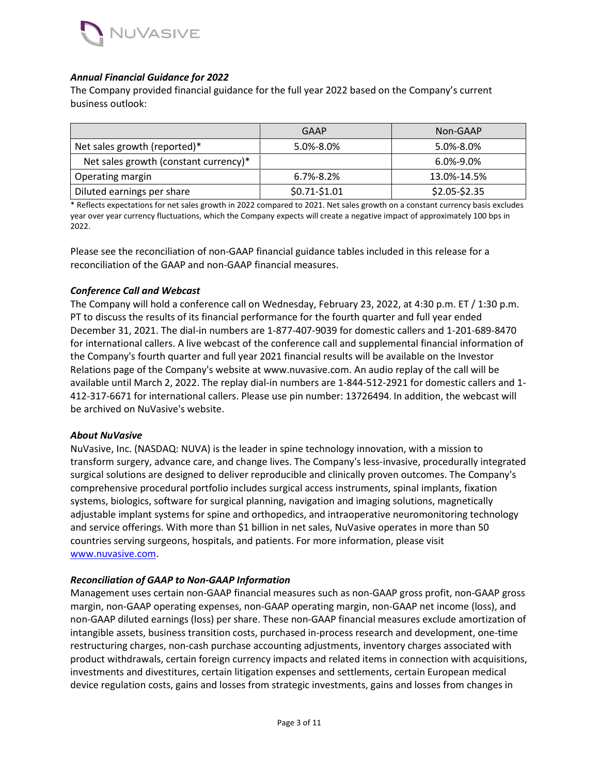

# *Annual Financial Guidance for 2022*

The Company provided financial guidance for the full year 2022 based on the Company's current business outlook:

|                                       | GAAP          | Non-GAAP        |
|---------------------------------------|---------------|-----------------|
| Net sales growth (reported)*          | 5.0%-8.0%     | 5.0%-8.0%       |
| Net sales growth (constant currency)* |               | $6.0\% - 9.0\%$ |
| Operating margin                      | 6.7%-8.2%     | 13.0%-14.5%     |
| Diluted earnings per share            | \$0.71-\$1.01 | $$2.05 - $2.35$ |

\* Reflects expectations for net sales growth in 2022 compared to 2021. Net sales growth on a constant currency basis excludes year over year currency fluctuations, which the Company expects will create a negative impact of approximately 100 bps in 2022.

Please see the reconciliation of non-GAAP financial guidance tables included in this release for a reconciliation of the GAAP and non-GAAP financial measures.

# *Conference Call and Webcast*

The Company will hold a conference call on Wednesday, February 23, 2022, at 4:30 p.m. ET / 1:30 p.m. PT to discuss the results of its financial performance for the fourth quarter and full year ended December 31, 2021. The dial-in numbers are 1-877-407-9039 for domestic callers and 1-201-689-8470 for international callers. A live webcast of the conference call and supplemental financial information of the Company's fourth quarter and full year 2021 financial results will be available on the Investor Relations page of the Company's website at [www.nuvasive.com.](https://c212.net/c/link/?t=0&l=en&o=3333340-1&h=1282287315&u=https%3A%2F%2Fir.nuvasive.com%2Fevents-and-presentations%2Fupcoming-events&a=www.nuvasive.com) An audio replay of the call will be available until March 2, 2022. The replay dial-in numbers are 1-844-512-2921 for domestic callers and 1- 412-317-6671 for international callers. Please use pin number: 13726494. In addition, the webcast will be archived on NuVasive's website.

## *About NuVasive*

NuVasive, Inc. (NASDAQ: NUVA) is the leader in spine technology innovation, with a mission to transform surgery, advance care, and change lives. The Company's less-invasive, procedurally integrated surgical solutions are designed to deliver reproducible and clinically proven outcomes. The Company's comprehensive procedural portfolio includes surgical access instruments, spinal implants, fixation systems, biologics, software for surgical planning, navigation and imaging solutions, magnetically adjustable implant systems for spine and orthopedics, and intraoperative neuromonitoring technology and service offerings. With more than \$1 billion in net sales, NuVasive operates in more than 50 countries serving surgeons, hospitals, and patients. For more information, please visit [www.nuvasive.com.](http://www.nuvasive.com/)

## *Reconciliation of GAAP to Non-GAAP Information*

Management uses certain non-GAAP financial measures such as non-GAAP gross profit, non-GAAP gross margin, non-GAAP operating expenses, non-GAAP operating margin, non-GAAP net income (loss), and non-GAAP diluted earnings (loss) per share. These non-GAAP financial measures exclude amortization of intangible assets, business transition costs, purchased in-process research and development, one-time restructuring charges, non-cash purchase accounting adjustments, inventory charges associated with product withdrawals, certain foreign currency impacts and related items in connection with acquisitions, investments and divestitures, certain litigation expenses and settlements, certain European medical device regulation costs, gains and losses from strategic investments, gains and losses from changes in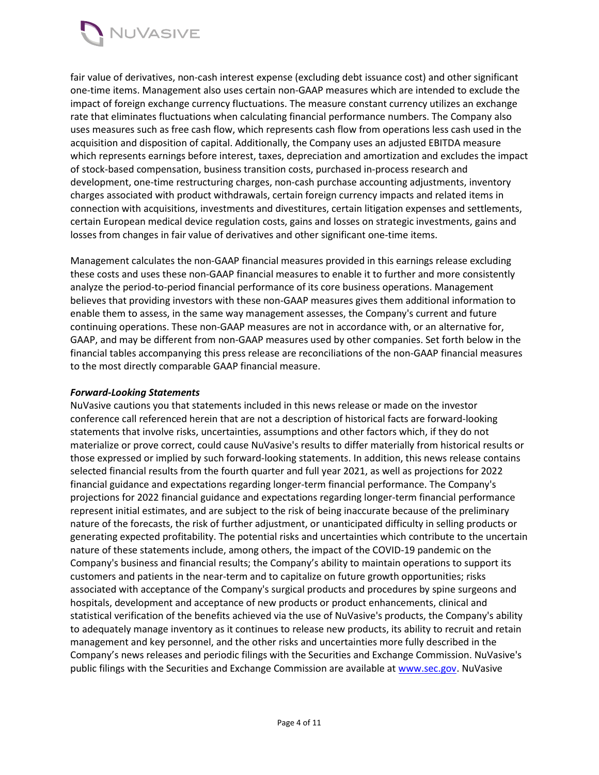

fair value of derivatives, non-cash interest expense (excluding debt issuance cost) and other significant one-time items. Management also uses certain non-GAAP measures which are intended to exclude the impact of foreign exchange currency fluctuations. The measure constant currency utilizes an exchange rate that eliminates fluctuations when calculating financial performance numbers. The Company also uses measures such as free cash flow, which represents cash flow from operations less cash used in the acquisition and disposition of capital. Additionally, the Company uses an adjusted EBITDA measure which represents earnings before interest, taxes, depreciation and amortization and excludes the impact of stock-based compensation, business transition costs, purchased in-process research and development, one-time restructuring charges, non-cash purchase accounting adjustments, inventory charges associated with product withdrawals, certain foreign currency impacts and related items in connection with acquisitions, investments and divestitures, certain litigation expenses and settlements, certain European medical device regulation costs, gains and losses on strategic investments, gains and losses from changes in fair value of derivatives and other significant one-time items.

Management calculates the non-GAAP financial measures provided in this earnings release excluding these costs and uses these non-GAAP financial measures to enable it to further and more consistently analyze the period-to-period financial performance of its core business operations. Management believes that providing investors with these non-GAAP measures gives them additional information to enable them to assess, in the same way management assesses, the Company's current and future continuing operations. These non-GAAP measures are not in accordance with, or an alternative for, GAAP, and may be different from non-GAAP measures used by other companies. Set forth below in the financial tables accompanying this press release are reconciliations of the non-GAAP financial measures to the most directly comparable GAAP financial measure.

## *Forward-Looking Statements*

NuVasive cautions you that statements included in this news release or made on the investor conference call referenced herein that are not a description of historical facts are forward-looking statements that involve risks, uncertainties, assumptions and other factors which, if they do not materialize or prove correct, could cause NuVasive's results to differ materially from historical results or those expressed or implied by such forward-looking statements. In addition, this news release contains selected financial results from the fourth quarter and full year 2021, as well as projections for 2022 financial guidance and expectations regarding longer-term financial performance. The Company's projections for 2022 financial guidance and expectations regarding longer-term financial performance represent initial estimates, and are subject to the risk of being inaccurate because of the preliminary nature of the forecasts, the risk of further adjustment, or unanticipated difficulty in selling products or generating expected profitability. The potential risks and uncertainties which contribute to the uncertain nature of these statements include, among others, the impact of the COVID-19 pandemic on the Company's business and financial results; the Company's ability to maintain operations to support its customers and patients in the near-term and to capitalize on future growth opportunities; risks associated with acceptance of the Company's surgical products and procedures by spine surgeons and hospitals, development and acceptance of new products or product enhancements, clinical and statistical verification of the benefits achieved via the use of NuVasive's products, the Company's ability to adequately manage inventory as it continues to release new products, its ability to recruit and retain management and key personnel, and the other risks and uncertainties more fully described in the Company's news releases and periodic filings with the Securities and Exchange Commission. NuVasive's public filings with the Securities and Exchange Commission are available at [www.sec.gov.](http://www.sec.gov/) NuVasive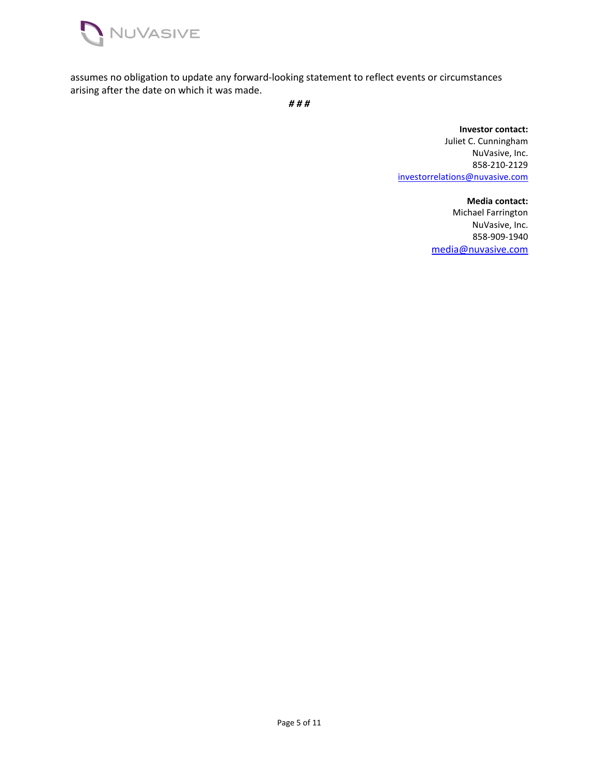

assumes no obligation to update any forward-looking statement to reflect events or circumstances arising after the date on which it was made.

*# # #*

## **Investor contact:**

Juliet C. Cunningham NuVasive, Inc. 858-210-2129 [investorrelations@nuvasive.com](mailto:investorrelations@nuvasive.com)

## **Media contact:**

Michael Farrington NuVasive, Inc. 858-909-1940 [media@nuvasive.com](file://nuvasive/dfs/sanfs01/jtieszen/Press%20Release/Earnings%20Calls/2Q19/Announcement%20Release/media@nuvasive.com)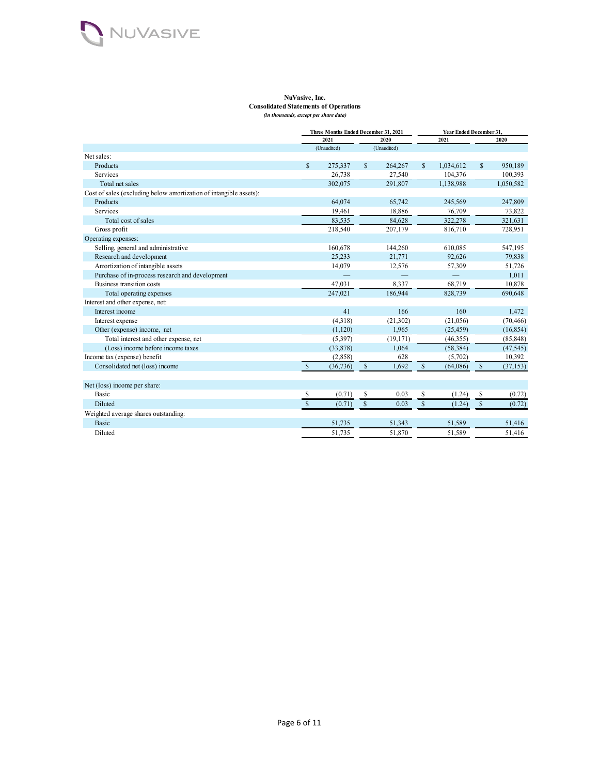

#### **NuVasive, Inc.**

## **Consolidated Statements of Operations**

#### *(in thousands, except per share data)*

|                                                                    |                    | Three Months Ended December 31, 2021 |               |             |              | Year Ended December 31, |              |           |  |
|--------------------------------------------------------------------|--------------------|--------------------------------------|---------------|-------------|--------------|-------------------------|--------------|-----------|--|
|                                                                    |                    | 2021                                 |               | 2020        | 2021         |                         |              | 2020      |  |
|                                                                    |                    | (Unaudited)                          |               | (Unaudited) |              |                         |              |           |  |
| Net sales:                                                         |                    |                                      |               |             |              |                         |              |           |  |
| Products                                                           | $\mathbb{S}$       | 275,337                              | $\mathbb{S}$  | 264,267     | $\mathbb{S}$ | 1,034,612               | $\mathbb{S}$ | 950,189   |  |
| Services                                                           |                    | 26,738                               |               | 27,540      |              | 104,376                 |              | 100,393   |  |
| Total net sales                                                    |                    | 302,075                              |               | 291,807     |              | 1,138,988               |              | 1,050,582 |  |
| Cost of sales (excluding below amortization of intangible assets): |                    |                                      |               |             |              |                         |              |           |  |
| Products                                                           |                    | 64,074                               |               | 65,742      |              | 245,569                 |              | 247,809   |  |
| Services                                                           |                    | 19.461                               |               | 18.886      |              | 76,709                  |              | 73,822    |  |
| Total cost of sales                                                |                    | 83,535                               |               | 84,628      |              | 322,278                 |              | 321,631   |  |
| Gross profit                                                       |                    | 218,540                              |               | 207,179     |              | 816,710                 |              | 728,951   |  |
| Operating expenses:                                                |                    |                                      |               |             |              |                         |              |           |  |
| Selling, general and administrative                                |                    | 160,678                              |               | 144,260     |              | 610.085                 |              | 547,195   |  |
| Research and development                                           |                    | 25,233                               |               | 21,771      |              | 92,626                  |              | 79,838    |  |
| Amortization of intangible assets                                  |                    | 14,079                               |               | 12,576      |              | 57,309                  |              | 51,726    |  |
| Purchase of in-process research and development                    |                    |                                      |               |             |              |                         |              | 1,011     |  |
| Business transition costs                                          |                    | 47.031                               |               | 8.337       |              | 68.719                  |              | 10,878    |  |
| Total operating expenses                                           |                    | 247,021                              |               | 186,944     |              | 828,739                 |              | 690,648   |  |
| Interest and other expense, net:                                   |                    |                                      |               |             |              |                         |              |           |  |
| Interest income                                                    |                    | 41                                   |               | 166         |              | 160                     |              | 1,472     |  |
| Interest expense                                                   |                    | (4,318)                              |               | (21, 302)   |              | (21,056)                |              | (70, 466) |  |
| Other (expense) income, net                                        |                    | (1, 120)                             |               | 1,965       |              | (25, 459)               |              | (16, 854) |  |
| Total interest and other expense, net                              |                    | (5, 397)                             |               | (19, 171)   |              | (46,355)                |              | (85, 848) |  |
| (Loss) income before income taxes                                  |                    | (33,878)                             |               | 1,064       |              | (58, 384)               |              | (47, 545) |  |
| Income tax (expense) benefit                                       |                    | (2,858)                              |               | 628         |              | (5,702)                 |              | 10,392    |  |
| Consolidated net (loss) income                                     | $\mathbf S$        | (36, 736)                            | $\mathcal{S}$ | 1,692       | $\mathbb{S}$ | (64,086)                | $\mathbb{S}$ | (37, 153) |  |
| Net (loss) income per share:                                       |                    |                                      |               |             |              |                         |              |           |  |
| Basic                                                              | \$                 | (0.71)                               | S             | 0.03        | \$           | (1.24)                  | \$           | (0.72)    |  |
| <b>Diluted</b>                                                     | $\mathbf{\hat{S}}$ | (0.71)                               | $\mathbb{S}$  | 0.03        | $\mathbb{S}$ | (1.24)                  | $\mathbb{S}$ | (0.72)    |  |
| Weighted average shares outstanding:                               |                    |                                      |               |             |              |                         |              |           |  |
| <b>Basic</b>                                                       |                    | 51,735                               |               | 51,343      |              | 51,589                  |              | 51,416    |  |
| Diluted                                                            |                    | 51,735                               |               | 51,870      |              | 51,589                  |              | 51,416    |  |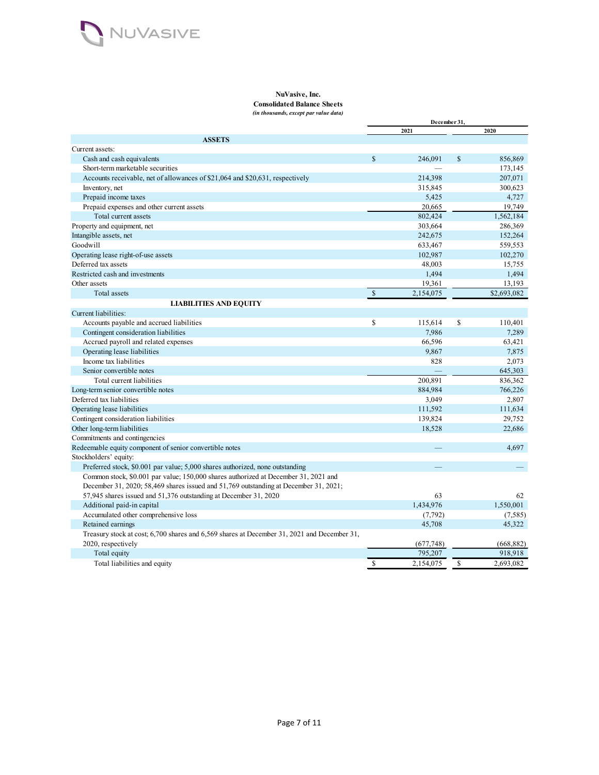

## **NuVasive, Inc.**

**Consolidated Balance Sheets** 

|  | (in thousands, except par value data) |  |  |  |  |
|--|---------------------------------------|--|--|--|--|
|--|---------------------------------------|--|--|--|--|

|                                                                                             |             | December 31, |             |             |
|---------------------------------------------------------------------------------------------|-------------|--------------|-------------|-------------|
|                                                                                             |             | 2021         |             | 2020        |
| <b>ASSETS</b>                                                                               |             |              |             |             |
| Current assets:                                                                             |             |              |             |             |
| Cash and cash equivalents                                                                   | $\mathbf S$ | 246,091      | $\mathbf S$ | 856,869     |
| Short-term marketable securities                                                            |             |              |             | 173,145     |
| Accounts receivable, net of allowances of \$21,064 and \$20,631, respectively               |             | 214,398      |             | 207,071     |
| Inventory, net                                                                              |             | 315,845      |             | 300,623     |
| Prepaid income taxes                                                                        |             | 5,425        |             | 4,727       |
| Prepaid expenses and other current assets                                                   |             | 20,665       |             | 19,749      |
| Total current assets                                                                        |             | 802,424      |             | 1,562,184   |
| Property and equipment, net                                                                 |             | 303,664      |             | 286,369     |
| Intangible assets, net                                                                      |             | 242,675      |             | 152,264     |
| Goodwill                                                                                    |             | 633,467      |             | 559,553     |
| Operating lease right-of-use assets                                                         |             | 102,987      |             | 102,270     |
| Deferred tax assets                                                                         |             | 48,003       |             | 15,755      |
| Restricted cash and investments                                                             |             | 1,494        |             | 1,494       |
| Other assets                                                                                |             | 19,361       |             | 13,193      |
| <b>Total</b> assets                                                                         | $\sqrt{s}$  | 2,154,075    |             | \$2,693,082 |
| <b>LIABILITIES AND EQUITY</b>                                                               |             |              |             |             |
| Current liabilities:                                                                        |             |              |             |             |
| Accounts payable and accrued liabilities                                                    | \$          | 115,614      | \$          | 110,401     |
| Contingent consideration liabilities                                                        |             | 7.986        |             | 7.289       |
| Accrued payroll and related expenses                                                        |             | 66,596       |             | 63,421      |
| Operating lease liabilities                                                                 |             | 9,867        |             | 7,875       |
| Income tax liabilities                                                                      |             | 828          |             | 2,073       |
| Senior convertible notes                                                                    |             |              |             | 645,303     |
| Total current liabilities                                                                   |             | 200.891      |             | 836.362     |
| Long-term senior convertible notes                                                          |             | 884,984      |             | 766,226     |
| Deferred tax liabilities                                                                    |             | 3,049        |             | 2,807       |
| Operating lease liabilities                                                                 |             | 111,592      |             | 111,634     |
| Contingent consideration liabilities                                                        |             | 139,824      |             | 29,752      |
| Other long-term liabilities                                                                 |             | 18,528       |             | 22,686      |
| Commitments and contingencies                                                               |             |              |             |             |
| Redeemable equity component of senior convertible notes                                     |             |              |             | 4.697       |
| Stockholders' equity:                                                                       |             |              |             |             |
| Preferred stock, \$0.001 par value; 5,000 shares authorized, none outstanding               |             |              |             |             |
| Common stock, \$0.001 par value; 150,000 shares authorized at December 31, 2021 and         |             |              |             |             |
| December 31, 2020; 58,469 shares issued and 51,769 outstanding at December 31, 2021;        |             |              |             |             |
| 57,945 shares issued and 51,376 outstanding at December 31, 2020                            |             | 63           |             | 62          |
| Additional paid-in capital                                                                  |             | 1,434,976    |             | 1,550,001   |
| Accumulated other comprehensive loss                                                        |             | (7, 792)     |             | (7, 585)    |
| Retained earnings                                                                           |             | 45,708       |             | 45,322      |
| Treasury stock at cost; 6,700 shares and 6,569 shares at December 31, 2021 and December 31, |             |              |             |             |
| 2020, respectively                                                                          |             | (677, 748)   |             | (668, 882)  |
| Total equity                                                                                |             | 795.207      |             | 918,918     |
| Total liabilities and equity                                                                | S           | 2,154,075    | \$          | 2,693,082   |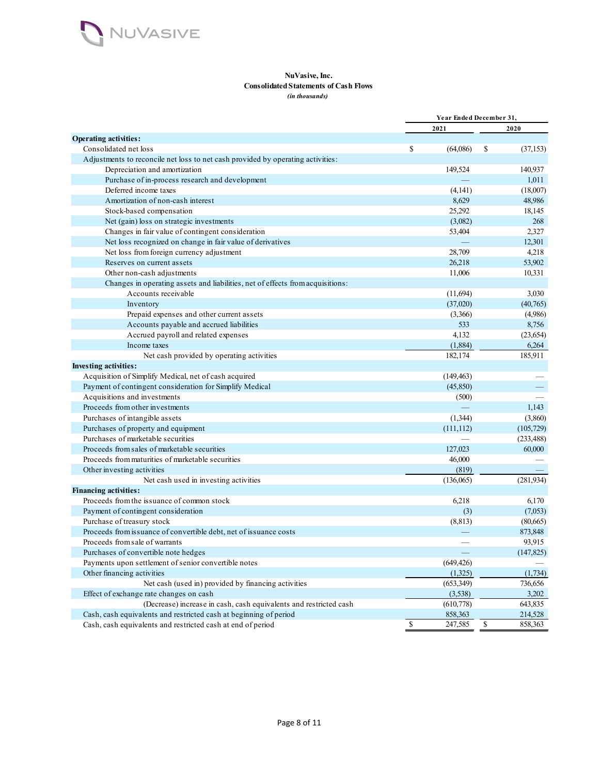

#### **NuVasive, Inc. Consolidated Statements of Cash Flows**  *(in thousands)*

|                                                                                 | Year Ended December 31, |            |    |            |
|---------------------------------------------------------------------------------|-------------------------|------------|----|------------|
|                                                                                 |                         | 2021       |    | 2020       |
| <b>Operating activities:</b>                                                    |                         |            |    |            |
| Consolidated net loss                                                           | \$                      | (64,086)   | \$ | (37, 153)  |
| Adjustments to reconcile net loss to net cash provided by operating activities: |                         |            |    |            |
| Depreciation and amortization                                                   |                         | 149,524    |    | 140,937    |
| Purchase of in-process research and development                                 |                         |            |    | 1,011      |
| Deferred income taxes                                                           |                         | (4,141)    |    | (18,007)   |
| Amortization of non-cash interest                                               |                         | 8,629      |    | 48,986     |
| Stock-based compensation                                                        |                         | 25,292     |    | 18,145     |
| Net (gain) loss on strategic investments                                        |                         | (3,082)    |    | 268        |
| Changes in fair value of contingent consideration                               |                         | 53,404     |    | 2,327      |
| Net loss recognized on change in fair value of derivatives                      |                         |            |    | 12,301     |
| Net loss from foreign currency adjustment                                       |                         | 28,709     |    | 4,218      |
| Reserves on current assets                                                      |                         | 26,218     |    | 53,902     |
| Other non-cash adjustments                                                      |                         | 11,006     |    | 10,331     |
| Changes in operating assets and liabilities, net of effects from acquisitions:  |                         |            |    |            |
| Accounts receivable                                                             |                         | (11,694)   |    | 3,030      |
| Inventory                                                                       |                         | (37,020)   |    | (40,765)   |
| Prepaid expenses and other current assets                                       |                         | (3,366)    |    | (4,986)    |
| Accounts payable and accrued liabilities                                        |                         | 533        |    | 8,756      |
| Accrued payroll and related expenses                                            |                         | 4,132      |    | (23, 654)  |
| Income taxes                                                                    |                         | (1,884)    |    | 6,264      |
| Net cash provided by operating activities                                       |                         | 182,174    |    | 185,911    |
| <b>Investing activities:</b>                                                    |                         |            |    |            |
| Acquisition of Simplify Medical, net of cash acquired                           |                         | (149, 463) |    |            |
| Payment of contingent consideration for Simplify Medical                        |                         | (45, 850)  |    |            |
| Acquisitions and investments                                                    |                         | (500)      |    |            |
| Proceeds from other investments                                                 |                         |            |    | 1,143      |
| Purchases of intangible assets                                                  |                         | (1,344)    |    | (3,860)    |
| Purchases of property and equipment                                             |                         | (111, 112) |    | (105,729)  |
| Purchases of marketable securities                                              |                         |            |    | (233, 488) |
| Proceeds from sales of marketable securities                                    |                         | 127,023    |    | 60,000     |
| Proceeds from maturities of marketable securities                               |                         | 46,000     |    |            |
| Other investing activities                                                      |                         | (819)      |    |            |
| Net cash used in investing activities                                           |                         | (136,065)  |    | (281, 934) |
| <b>Financing activities:</b>                                                    |                         |            |    |            |
| Proceeds from the issuance of common stock                                      |                         | 6,218      |    | 6,170      |
| Payment of contingent consideration                                             |                         | (3)        |    | (7,053)    |
| Purchase of treasury stock                                                      |                         | (8, 813)   |    | (80,665)   |
| Proceeds from issuance of convertible debt, net of issuance costs               |                         |            |    | 873,848    |
| Proceeds from sale of warrants                                                  |                         |            |    | 93,915     |
| Purchases of convertible note hedges                                            |                         |            |    | (147, 825) |
| Payments upon settlement of senior convertible notes                            |                         | (649, 426) |    |            |
| Other financing activities                                                      |                         | (1,325)    |    | (1, 734)   |
| Net cash (used in) provided by financing activities                             |                         | (653, 349) |    | 736,656    |
| Effect of exchange rate changes on cash                                         |                         | (3,538)    |    | 3,202      |
| (Decrease) increase in cash, cash equivalents and restricted cash               |                         | (610, 778) |    | 643,835    |
| Cash, cash equivalents and restricted cash at beginning of period               |                         | 858,363    |    | 214,528    |
| Cash, cash equivalents and restricted cash at end of period                     | $\sqrt{\ }$             | 247,585    | \$ | 858,363    |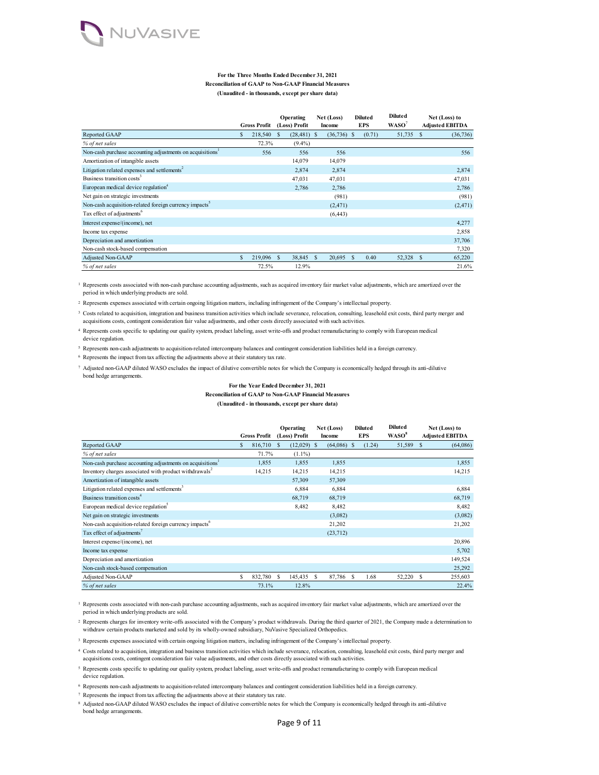

#### **For the Three Months Ended December 31, 2021 Reconciliation of GAAP to Non-GAAP Financial Measures (Unaudited - in thousands, except per share data)**

|                                                                       |             | <b>Gross Profit</b> |      | Operating<br>(Loss) Profit |    | Net (Loss)<br>Income |              | <b>Diluted</b><br><b>EPS</b> | <b>Diluted</b><br>WASO <sup>7</sup> |      | Net (Loss) to<br><b>Adjusted EBITDA</b> |
|-----------------------------------------------------------------------|-------------|---------------------|------|----------------------------|----|----------------------|--------------|------------------------------|-------------------------------------|------|-----------------------------------------|
| Reported GAAP                                                         | S           | 218,540             | - \$ | $(28, 481)$ \$             |    | $(36,736)$ \$        |              | (0.71)                       | 51,735 \$                           |      | (36, 736)                               |
| % of net sales                                                        |             | 72.3%               |      | $(9.4\%)$                  |    |                      |              |                              |                                     |      |                                         |
| Non-cash purchase accounting adjustments on acquisitions <sup>1</sup> |             | 556                 |      | 556                        |    | 556                  |              |                              |                                     |      | 556                                     |
| Amortization of intangible assets                                     |             |                     |      | 14,079                     |    | 14,079               |              |                              |                                     |      |                                         |
| Litigation related expenses and settlements <sup>2</sup>              |             |                     |      | 2,874                      |    | 2,874                |              |                              |                                     |      | 2,874                                   |
| Business transition costs <sup>3</sup>                                |             |                     |      | 47,031                     |    | 47,031               |              |                              |                                     |      | 47,031                                  |
| European medical device regulation <sup>4</sup>                       |             |                     |      | 2,786                      |    | 2,786                |              |                              |                                     |      | 2,786                                   |
| Net gain on strategic investments                                     |             |                     |      |                            |    | (981)                |              |                              |                                     |      | (981)                                   |
| Non-cash acquisition-related foreign currency impacts <sup>3</sup>    |             |                     |      |                            |    | (2, 471)             |              |                              |                                     |      | (2, 471)                                |
| Tax effect of adjustments <sup>6</sup>                                |             |                     |      |                            |    | (6, 443)             |              |                              |                                     |      |                                         |
| Interest expense/(income), net                                        |             |                     |      |                            |    |                      |              |                              |                                     |      | 4,277                                   |
| Income tax expense                                                    |             |                     |      |                            |    |                      |              |                              |                                     |      | 2,858                                   |
| Depreciation and amortization                                         |             |                     |      |                            |    |                      |              |                              |                                     |      | 37,706                                  |
| Non-cash stock-based compensation                                     |             |                     |      |                            |    |                      |              |                              |                                     |      | 7,320                                   |
| Adjusted Non-GAAP                                                     | $\mathbf S$ | 219,096 \$          |      | 38,845                     | -S | 20,695               | <sup>S</sup> | 0.40                         | 52,328                              | - \$ | 65,220                                  |
| % of net sales                                                        |             | 72.5%               |      | 12.9%                      |    |                      |              |                              |                                     |      | 21.6%                                   |

<sup>1</sup> Represents costs associated with non-cash purchase accounting adjustments, such as acquired inventory fair market value adjustments, which are amortized over the period in which underlying products are sold.

2 Represents expenses associated with certain ongoing litigation matters, including infringement of the Company's intellectual property.

<sup>3</sup> Costs related to acquisition, integration and business transition activities which include severance, relocation, consulting, leasehold exit costs, third party merger and acquisitions costs, contingent consideration fair value adjustments, and other costs directly associated with such activities.

 4 Represents costs specific to updating our quality system, product labeling, asset write-offs and product remanufacturing to comply with European medical device regulation.

5 Represents non-cash adjustments to acquisition-related intercompany balances and contingent consideration liabilities held in a foreign currency.

6 Represents the impact from tax affecting the adjustments above at their statutory tax rate.

 7 Adjusted non-GAAP diluted WASO excludes the impact of dilutive convertible notes for which the Company is economically hedged through its anti-dilutive bond hedge arrangements.

### **For the Year Ended December 31, 2021 Reconciliation of GAAP to Non-GAAP Financial Measures**

### **(Unaudited - in thousands, except per share data)**

|                                                                       |    |                     |               | Operating     | Net (Loss)    |   | <b>Diluted</b> | <b>Diluted</b>    |   | Net (Loss) to          |
|-----------------------------------------------------------------------|----|---------------------|---------------|---------------|---------------|---|----------------|-------------------|---|------------------------|
|                                                                       |    | <b>Gross Profit</b> |               | (Loss) Profit | Income        |   | <b>EPS</b>     | WASO <sup>8</sup> |   | <b>Adjusted EBITDA</b> |
| Reported GAAP                                                         | \$ | 816,710             | <sup>\$</sup> | $(12,029)$ \$ | $(64,086)$ \$ |   | (1.24)         | 51,589            | S | (64,086)               |
| % of net sales                                                        |    | 71.7%               |               | $(1.1\%)$     |               |   |                |                   |   |                        |
| Non-cash purchase accounting adjustments on acquisitions <sup>1</sup> |    | 1,855               |               | 1,855         | 1,855         |   |                |                   |   | 1,855                  |
| Inventory charges associated with product withdrawals <sup>2</sup>    |    | 14,215              |               | 14,215        | 14,215        |   |                |                   |   | 14,215                 |
| Amortization of intangible assets                                     |    |                     |               | 57,309        | 57,309        |   |                |                   |   |                        |
| Litigation related expenses and settlements <sup>3</sup>              |    |                     |               | 6,884         | 6,884         |   |                |                   |   | 6,884                  |
| Business transition costs <sup>4</sup>                                |    |                     |               | 68,719        | 68,719        |   |                |                   |   | 68,719                 |
| European medical device regulation <sup>3</sup>                       |    |                     |               | 8,482         | 8,482         |   |                |                   |   | 8,482                  |
| Net gain on strategic investments                                     |    |                     |               |               | (3,082)       |   |                |                   |   | (3,082)                |
| Non-cash acquisition-related foreign currency impacts <sup>6</sup>    |    |                     |               |               | 21,202        |   |                |                   |   | 21,202                 |
| Tax effect of adjustments <sup>7</sup>                                |    |                     |               |               | (23,712)      |   |                |                   |   |                        |
| Interest expense/(income), net                                        |    |                     |               |               |               |   |                |                   |   | 20,896                 |
| Income tax expense                                                    |    |                     |               |               |               |   |                |                   |   | 5,702                  |
| Depreciation and amortization                                         |    |                     |               |               |               |   |                |                   |   | 149,524                |
| Non-cash stock-based compensation                                     |    |                     |               |               |               |   |                |                   |   | 25,292                 |
| Adjusted Non-GAAP                                                     | S  | 832,780             | - \$          | 145,435 \$    | 87,786        | S | 1.68           | 52,220            | S | 255,603                |
| % of net sales                                                        |    | 73.1%               |               | 12.8%         |               |   |                |                   |   | 22.4%                  |

<sup>1</sup> Represents costs associated with non-cash purchase accounting adjustments, such as acquired inventory fair market value adjustments, which are amortized over the period in which underlying products are sold.

<sup>2</sup> Represents charges for inventory write-offs associated with the Company's product withdrawals. During the third quarter of 2021, the Company made a determination to withdraw certain products marketed and sold by its wholly-owned subsidiary, NuVasive Specialized Orthopedics.

<sup>3</sup> Represents expenses associated with certain ongoing litigation matters, including infringement of the Company's intellectual property.

 4 Costs related to acquisition, integration and business transition activities which include severance, relocation, consulting, leasehold exit costs, third party merger and acquisitions costs, contingent consideration fair value adjustments, and other costs directly associated with such activities.

<sup>5</sup> Represents costs specific to updating our quality system, product labeling, asset write-offs and product remanufacturing to comply with European medical device regulation

6 Represents non-cash adjustments to acquisition-related intercompany balances and contingent consideration liabilities held in a foreign currency.

7 Represents the impact from tax affecting the adjustments above at their statutory tax rate.

 8 Adjusted non-GAAP diluted WASO excludes the impact of dilutive convertible notes for which the Company is economically hedged through its anti-dilutive bond hedge arrangements.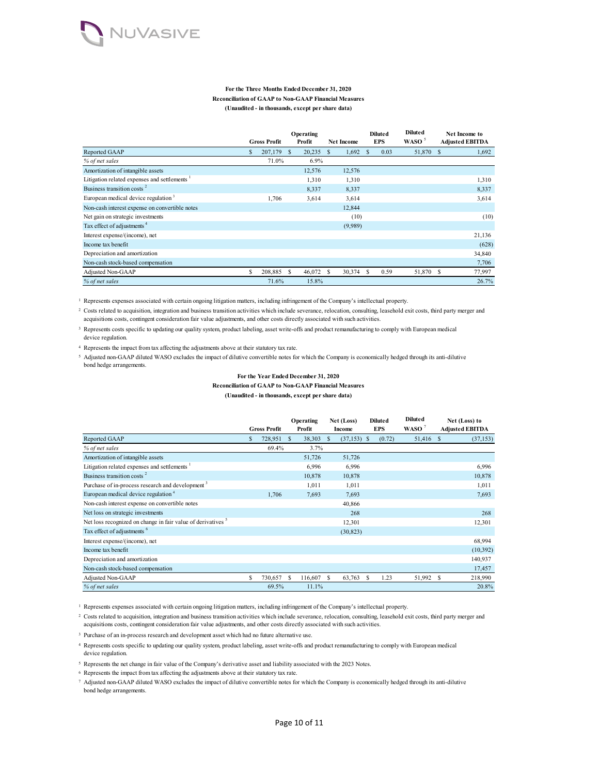

#### **(Unaudited - in thousands, except per share data) For the Three Months Ended December 31, 2020 Reconciliation of GAAP to Non-GAAP Financial Measures**

|                                                 |   | <b>Gross Profit</b> |    | Operating<br>Profit |              | <b>Net Income</b> |      | <b>Diluted</b><br><b>EPS</b> | <b>Diluted</b><br>WASO <sup>5</sup> |    | <b>Net Income to</b><br><b>Adjusted EBITDA</b> |
|-------------------------------------------------|---|---------------------|----|---------------------|--------------|-------------------|------|------------------------------|-------------------------------------|----|------------------------------------------------|
| Reported GAAP                                   | S | 207,179             | -S | 20,235              | <sup>S</sup> | 1,692             | - \$ | 0.03                         | 51,870                              | -8 | 1,692                                          |
| % of net sales                                  |   | 71.0%               |    | 6.9%                |              |                   |      |                              |                                     |    |                                                |
| Amortization of intangible assets               |   |                     |    | 12,576              |              | 12,576            |      |                              |                                     |    |                                                |
| Litigation related expenses and settlements     |   |                     |    | 1,310               |              | 1,310             |      |                              |                                     |    | 1,310                                          |
| Business transition costs <sup>2</sup>          |   |                     |    | 8,337               |              | 8,337             |      |                              |                                     |    | 8,337                                          |
| European medical device regulation <sup>3</sup> |   | 1,706               |    | 3,614               |              | 3,614             |      |                              |                                     |    | 3,614                                          |
| Non-cash interest expense on convertible notes  |   |                     |    |                     |              | 12,844            |      |                              |                                     |    |                                                |
| Net gain on strategic investments               |   |                     |    |                     |              | (10)              |      |                              |                                     |    | (10)                                           |
| Tax effect of adjustments <sup>4</sup>          |   |                     |    |                     |              | (9,989)           |      |                              |                                     |    |                                                |
| Interest expense/(income), net                  |   |                     |    |                     |              |                   |      |                              |                                     |    | 21,136                                         |
| Income tax benefit                              |   |                     |    |                     |              |                   |      |                              |                                     |    | (628)                                          |
| Depreciation and amortization                   |   |                     |    |                     |              |                   |      |                              |                                     |    | 34,840                                         |
| Non-cash stock-based compensation               |   |                     |    |                     |              |                   |      |                              |                                     |    | 7,706                                          |
| Adjusted Non-GAAP                               | S | 208,885             | -S | 46,072 \$           |              | 30,374 \$         |      | 0.59                         | 51,870 \$                           |    | 77,997                                         |
| % of net sales                                  |   | 71.6%               |    | 15.8%               |              |                   |      |                              |                                     |    | 26.7%                                          |

<sup>1</sup> Represents expenses associated with certain ongoing litigation matters, including infringement of the Company's intellectual property.

<sup>2</sup> Costs related to acquisition, integration and business transition activities which include severance, relocation, consulting, leasehold exit costs, third party merger and acquisitions costs, contingent consideration fair value adjustments, and other costs directly associated with such activities.

<sup>3</sup> Represents costs specific to updating our quality system, product labeling, asset write-offs and product remanufacturing to comply with European medical device regulation.

4 Represents the impact from tax affecting the adjustments above at their statutory tax rate.

 5 Adjusted non-GAAP diluted WASO excludes the impact of dilutive convertible notes for which the Company is economically hedged through its anti-dilutive bond hedge arrangements.

#### **For the Year Ended December 31, 2020**

**Reconciliation of GAAP to Non-GAAP Financial Measures**

**(Unaudited - in thousands, except per share data)**

|                                                                         |   |                     |    | Operating |     | Net (Loss)     |    | <b>Diluted</b> | <b>Diluted</b>    | Net (Loss) to          |
|-------------------------------------------------------------------------|---|---------------------|----|-----------|-----|----------------|----|----------------|-------------------|------------------------|
|                                                                         |   | <b>Gross Profit</b> |    | Profit    |     | Income         |    | <b>EPS</b>     | WASO <sup>7</sup> | <b>Adjusted EBITDA</b> |
| Reported GAAP                                                           | S | 728,951 \$          |    | 38,303    | - S | $(37, 153)$ \$ |    | (0.72)         | 51,416 \$         | (37, 153)              |
| % of net sales                                                          |   | 69.4%               |    | 3.7%      |     |                |    |                |                   |                        |
| Amortization of intangible assets                                       |   |                     |    | 51,726    |     | 51,726         |    |                |                   |                        |
| Litigation related expenses and settlements <sup>1</sup>                |   |                     |    | 6,996     |     | 6,996          |    |                |                   | 6,996                  |
| Business transition costs <sup>2</sup>                                  |   |                     |    | 10,878    |     | 10,878         |    |                |                   | 10,878                 |
| Purchase of in-process research and development <sup>3</sup>            |   |                     |    | 1,011     |     | 1,011          |    |                |                   | 1,011                  |
| European medical device regulation <sup>4</sup>                         |   | 1,706               |    | 7,693     |     | 7,693          |    |                |                   | 7,693                  |
| Non-cash interest expense on convertible notes                          |   |                     |    |           |     | 40,866         |    |                |                   |                        |
| Net loss on strategic investments                                       |   |                     |    |           |     | 268            |    |                |                   | 268                    |
| Net loss recognized on change in fair value of derivatives <sup>5</sup> |   |                     |    |           |     | 12,301         |    |                |                   | 12,301                 |
| Tax effect of adjustments <sup>6</sup>                                  |   |                     |    |           |     | (30, 823)      |    |                |                   |                        |
| Interest expense/(income), net                                          |   |                     |    |           |     |                |    |                |                   | 68,994                 |
| Income tax benefit                                                      |   |                     |    |           |     |                |    |                |                   | (10, 392)              |
| Depreciation and amortization                                           |   |                     |    |           |     |                |    |                |                   | 140,937                |
| Non-cash stock-based compensation                                       |   |                     |    |           |     |                |    |                |                   | 17,457                 |
| Adjusted Non-GAAP                                                       | S | 730,657             | £. | 116,607   | S   | 63,763         | -S | 1.23           | 51,992 \$         | 218,990                |
| % of net sales                                                          |   | 69.5%               |    | 11.1%     |     |                |    |                |                   | 20.8%                  |

<sup>1</sup> Represents expenses associated with certain ongoing litigation matters, including infringement of the Company's intellectual property.

<sup>2</sup> Costs related to acquisition, integration and business transition activities which include severance, relocation, consulting, leasehold exit costs, third party merger and acquisitions costs, contingent consideration fair value adjustments, and other costs directly associated with such activities.

<sup>3</sup> Purchase of an in-process research and development asset which had no future alternative use.

 4 Represents costs specific to updating our quality system, product labeling, asset write-offs and product remanufacturing to comply with European medical device regulation.

5 Represents the net change in fair value of the Company's derivative asset and liability associated with the 2023 Notes.

6 Represents the impact from tax affecting the adjustments above at their statutory tax rate.

<sup>7</sup> Adjusted non-GAAP diluted WASO excludes the impact of dilutive convertible notes for which the Company is economically hedged through its anti-dilutive bond hedge arrangements.